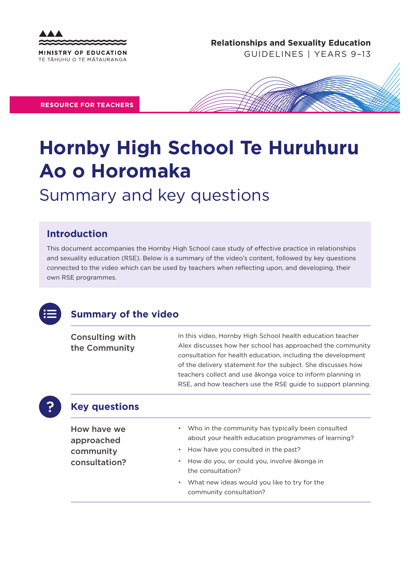

**Relationships and Sexuality Education** 

GUIDELINES | YEARS 9–13

**RESOURCE FOR TEACHERS**



# **Hornby High School Te Huruhuru Ao o Horomaka**

## Summary and key questions

#### **Introduction**

This document accompanies the Hornby High School case study of effective practice in relationships and sexuality education (RSE). Below is a summary of the video's content, followed by key questions connected to the video which can be used by teachers when reflecting upon, and developing, their own RSE programmes.



#### **Summary of the video**

Consulting with the Community

In this video, Hornby High School health education teacher Alex discusses how her school has approached the community consultation for health education, including the development of the delivery statement for the subject. She discusses how teachers collect and use ākonga voice to inform planning in RSE, and how teachers use the RSE guide to support planning.



#### **Key questions**

How have we approached community consultation?

- Who in the community has typically been consulted about your health education programmes of learning?
- How have you consulted in the past?
- How do you, or could you, involve ākonga in the consultation?
- What new ideas would you like to try for the community consultation?